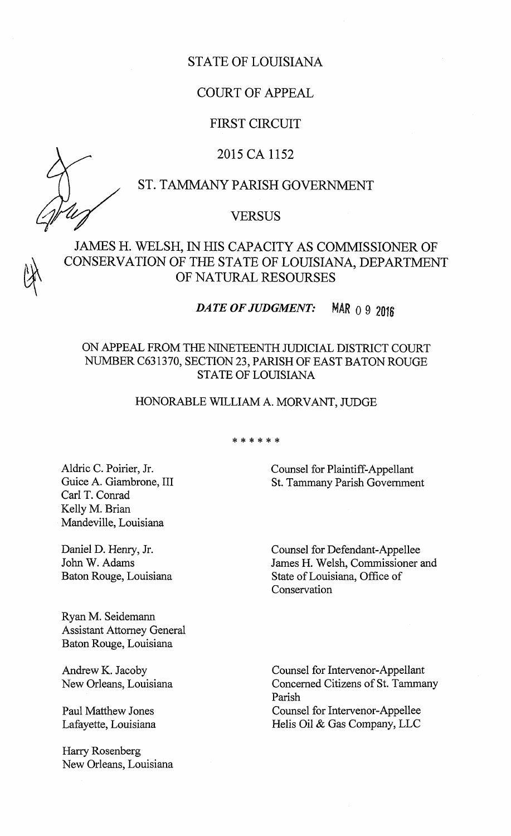## STATE OF LOUISIANA

## COURT OF APPEAL

## FIRST CIRCUIT

## 2015CA1152

## ST. TAMMANY PARISH GOVERNMENT

## VERSUS

JAMES H. WELSH, IN HIS CAPACITY AS COMMISSIONER OF CONSERVATION OF THE STATE OF LOUISIANA, DEPARTMENT OF NATURAL RESOURSES

DATE OF JUDGMENT: MAR 0 9 2016

## ON APPEAL FROM THE NINETEENTH JUDICIAL DISTRICT COURT NUMBER C631370, SECTION 23, PARISH OF EAST BATON ROUGE STATE OF LOUISIANA

### HONORABLE WILLIAM A. MORVANT, JUDGE

\* \* \* \* \* \*

Aldric C. Poirier, Jr. Guice A. Giambrone, III Carl T. Conrad Kelly M. Brian Mandeville, Louisiana

Daniel D. Henry, Jr. John W. Adams Baton Rouge, Louisiana

Ryan M. Seidemann Assistant Attorney General Baton Rouge, Louisiana

Andrew K. Jacoby New Orleans, Louisiana

Paul Matthew Jones Lafayette, Louisiana

Harry Rosenberg New Orleans, Louisiana Counsel for Plaintiff-Appellant St. Tammany Parish Government

Counsel for Defendant-Appellee James H. Welsh, Commissioner and State ofLouisiana, Office of Conservation

Counsel for Intervenor-Appellant Concerned Citizens of St. Tammany Parish Counsel for Intervenor-Appellee Helis Oil & Gas Company, LLC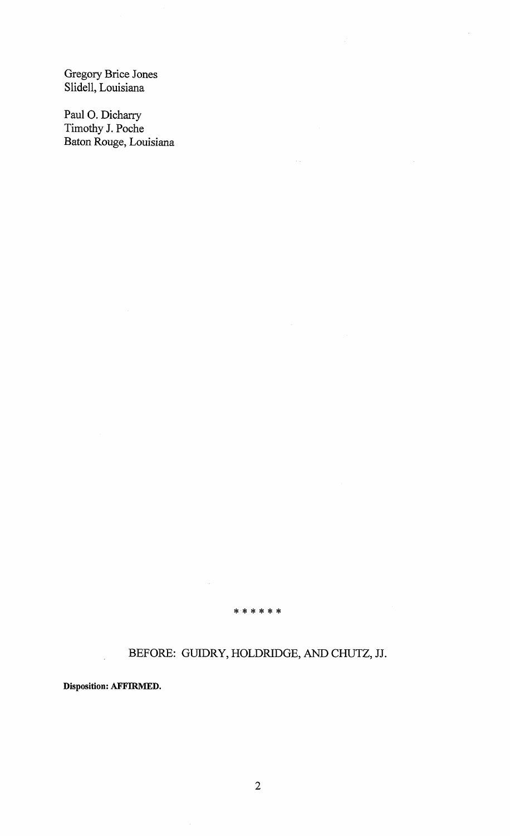Gregory Brice Jones Slidell, Louisiana

Paul 0. Dicharry Timothy J. Poche Baton Rouge, Louisiana

\* \* \* \* \* \*

# BEFORE: GUIDRY, HOLDRIDGE, AND CHUTZ, JJ.

Disposition: AFFIRMED.

 $\ddot{\phantom{0}}$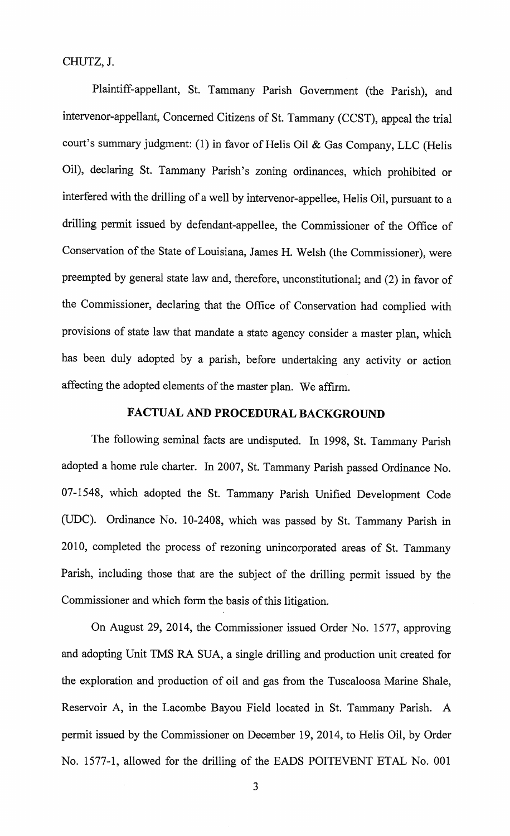CHUTZ,J.

Plaintiff-appellant, St. Tammany Parish Government (the Parish), and intervenor-appellant, Concerned Citizens of St. Tammany (CCST), appeal the trial court's summary judgment: (1) in favor of Helis Oil & Gas Company, LLC (Helis Oil), declaring St. Tammany Parish's zoning ordinances, which prohibited or interfered with the drilling of a well by intervenor-appellee, Helis Oil, pursuant to a drilling permit issued by defendant-appellee, the Commissioner of the Office of Conservation of the State of Louisiana, James H. Welsh (the Commissioner), were preempted by general state law and, therefore, unconstitutional; and (2) in favor of the Commissioner, declaring that the Office of Conservation had complied with provisions of state law that mandate <sup>a</sup> state agency consider <sup>a</sup> master plan, which has been duly adopted by a parish, before undertaking any activity or action affecting the adopted elements of the master plan. We affirm.

# FACTUAL AND PROCEDURAL BACKGROUND

The following seminal facts are undisputed. In 1998, St. Tammany Parish adopted a home rule charter. In 2007, St. Tammany Parish passed Ordinance No. 07-1548, which adopted the St. Tammany Parish Unified Development Code UDC). Ordinance No. 10-2408, which was passed by St. Tammany Parish in 2010, completed the process of rezoning unincorporated areas of St. Tammany Parish, including those that are the subject of the drilling permit issued by the Commissioner and which form the basis of this litigation.

On August 29, 2014, the Commissioner issued Order No. 1577, approving and adopting Unit TMS RA SUA, <sup>a</sup> single drilling and production unit created for the exploration and production of oil and gas from the Tuscaloosa Marine Shale, Reservoir A, in the Lacombe Bayou Field located in St. Tammany Parish. A permit issued by the Commissioner on December 19, 2014, to Helis Oil, by Order No. 1577-1, allowed for the drilling of the EADS POITEVENT ETAL No. <sup>001</sup>

3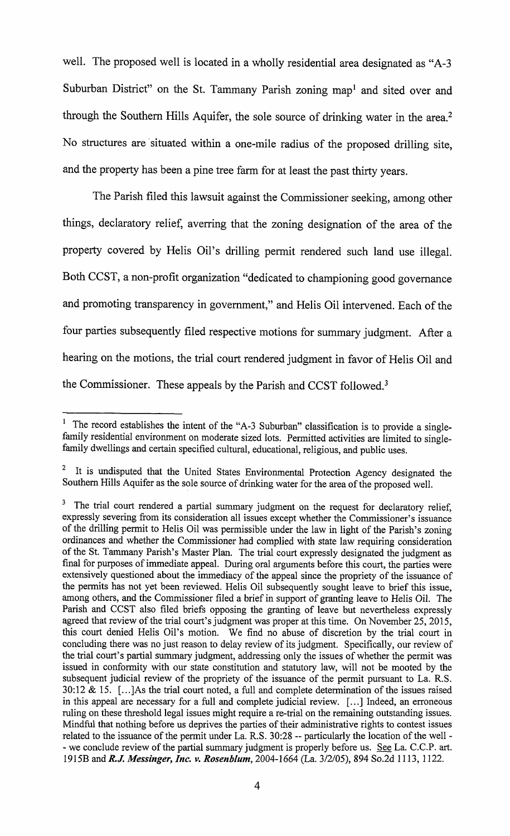well. The proposed well is located in a wholly residential area designated as "A-3" Suburban District" on the St. Tammany Parish zoning map<sup>1</sup> and sited over and through the Southern Hills Aquifer, the sole source of drinking water in the area.<sup>2</sup> No structures are situated within a one-mile radius of the proposed drilling site, and the property has been a pine tree farm for at least the past thirty years.

The Parish filed this lawsuit against the Commissioner seeking, among other things, declaratory relief, averring that the zoning designation of the area of the property covered by Helis Oil's drilling permit rendered such land use illegal. Both CCST, a non-profit organization "dedicated to championing good governance and promoting transparency in government," and Helis Oil intervened. Each of the four parties subsequently filed respective motions for summary judgment. After a hearing on the motions, the trial court rendered judgment in favor of Helis Oil and the Commissioner. These appeals by the Parish and CCST followed.<sup>3</sup>

<sup>1</sup> The record establishes the intent of the "A-3 Suburban" classification is to provide a singlefamily residential environment on moderate sized lots. Permitted activities are limited to singlefamily dwellings and certain specified cultural, educational, religious, and public uses.

<sup>&</sup>lt;sup>2</sup> It is undisputed that the United States Environmental Protection Agency designated the Southern Hills Aquifer as the sole source of drinking water for the area of the proposed well.

<sup>&</sup>lt;sup>3</sup> The trial court rendered a partial summary judgment on the request for declaratory relief, expressly severing from its consideration all issues except whether the Commissioner's issuance of the drilling permit to Helis Oil was permissible under the law in light of the Parish's zoning ordinances and whether the Commissioner had complied with state law requiring consideration of the St. Tammany Parish's Master Plan. The trial court expressly designated the judgment as final for purposes of immediate appeal. During oral arguments before this court, the parties were extensively questioned about the immediacy of the appeal since the propriety of the issuance of the permits has not yet been reviewed. Helis Oil subsequently sought leave to brief this issue, among others, and the Commissioner filed a brief in support of granting leave to Helis Oil. The Parish and CCST also filed briefs opposing the granting of leave but nevertheless expressly agreed that review of the trial court's judgment was proper at this time. On November  $25$ ,  $2015$ , this court denied Helis Oil's motion. We find no abuse of discretion by the trial court in concluding there was no just reason to delay review of its judgment. Specifically, our review of the trial court's partial summary judgment, addressing only the issues of whether the permit was issued in conformity with our state constitution and statutory law, will not be mooted by the subsequent judicial review of the propriety of the issuance of the permit pursuant to La. R.S. 30:12 & 15.  $[...]$ As the trial court noted, a full and complete determination of the issues raised in this appeal are necessary for <sup>a</sup> full and complete judicial review. [ ... ] Indeed, an erroneous ruling on these threshold legal issues might require a re-trial on the remaining outstanding issues. Mindful that nothing before us deprives the parties of their administrative rights to contest issues related to the issuance of the permit under La. R.S. 30:28 -- particularly the location of the well -- we conclude review of the partial summary judgment is properly before us. See La. C.C.P. art. 1915B and R.J. Messinger, Inc. v. Rosenblum, 2004-1664 (La. 3/2/05), 894 So.2d 1113, 1122.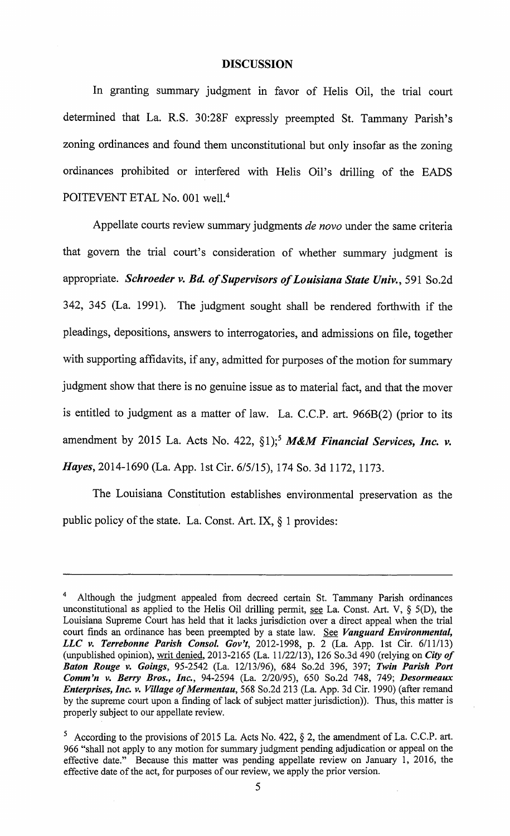#### DISCUSSION

In granting summary judgment in favor of Helis Oil, the trial court determined that La. R.S. 30:28F expressly preempted St. Tammany Parish's zoning ordinances and found them unconstitutional but only insofar as the zoning ordinances prohibited or interfered with Helis Oil's drilling of the EADS POITEVENT ETAL No. 001 well.<sup>4</sup>

Appellate courts review summary judgments de novo under the same criteria that govern the trial court's consideration of whether summary judgment is appropriate. Schroeder v. Bd. of Supervisors of Louisiana State Univ., 591 So.2d 342, 345 (La. 1991). The judgment sought shall be rendered forthwith if the pleadings, depositions, answers to interrogatories, and admissions on file, together with supporting affidavits, if any, admitted for purposes of the motion for summary judgment show that there is no genuine issue as to material fact, and that the mover is entitled to judgment as <sup>a</sup> matter of law. La. C.C.P. art. 966B(2) ( prior to its amendment by 2015 La. Acts No. 422,  $\S1$ ;<sup>5</sup> M&M Financial Services, Inc. v. Hayes, 2014-1690 (La. App. lst Cir. 6/5/15), 174 So. 3d 1172, 1173.

The Louisiana Constitution establishes environmental preservation as the public policy of the state. La. Const. Art. IX,  $\S$  1 provides:

<sup>&</sup>lt;sup>4</sup> Although the judgment appealed from decreed certain St. Tammany Parish ordinances unconstitutional as applied to the Helis Oil drilling permit, see La. Const. Art. V, § 5(D), the Louisiana Supreme Court has held that it lacks jurisdiction over <sup>a</sup> direct appeal when the trial court finds an ordinance has been preempted by a state law. See Vanguard Environmental, LLC v. Terrebonne Parish Consol. Gov't, 2012-1998, p. 2 (La. App. 1st Cir.  $6/11/13$ ) unpublished opinion), writ denied, 2013-2165 (La. 11/22/13), 126 So.3d 490 (relying on City of Baton Rouge v. Goings, 95-2542 (La. 12/13/96), 684 So.2d 396, 397; Twin Parish Port Comm'n v. Berry Bros., Inc., 94-2594 (La. 2/20/95), 650 So.2d 748, 749; Desormeaux Enterprises, Inc. v. Village of Mermentau, 568 So.2d 213 (La. App. 3d Cir. 1990) (after remand by the supreme court upon a finding of lack of subject matter jurisdiction)). Thus, this matter is properly subject to our appellate review.

<sup>&</sup>lt;sup>5</sup> According to the provisions of 2015 La. Acts No. 422,  $\S$  2, the amendment of La. C.C.P. art. 966 " shall not apply to any motion for summary judgment pending adjudication or appeal on the effective date." Because this matter was pending appellate review on January l, 2016, the effective date of the act, for purposes of our review, we apply the prior version.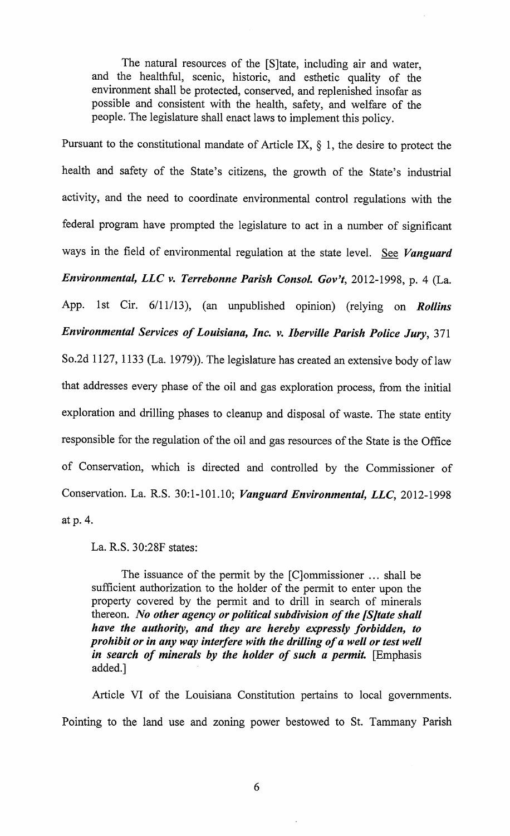The natural resources of the [S]tate, including air and water, and the healthful, scenic, historic, and esthetic quality of the environment shall be protected, conserved, and replenished insofar as possible and consistent with the health, safety, and welfare of the people. The legislature shall enact laws to implement this policy.

Pursuant to the constitutional mandate of Article IX,  $\S$  1, the desire to protect the health and safety of the State'<sup>s</sup> citizens, the growth of the State'<sup>s</sup> industrial activity, and the need to coordinate environmental control regulations with the federal program have prompted the legislature to act in <sup>a</sup> number of significant ways in the field of environmental regulation at the state level. See Vanguard Environmental, LLC v. Terrebonne Parish Consol. Gov't, 2012-1998, p. 4 (La. App. 1st Cir.  $6/11/13$ , (an unpublished opinion) (relying on *Rollins* Environmental Services of Louisiana, Inc. v. Iberville Parish Police Jury, 371 So.2d 1127, 1133 (La. 1979)). The legislature has created an extensive body of law that addresses every phase of the oil and gas exploration process, from the initial exploration and drilling phases to cleanup and disposal of waste. The state entity responsible for the regulation of the oil and gas resources of the State is the Office of Conservation, which is directed and controlled by the Commissioner of Conservation. La. R.S. 30:1-101.10; Vanguard Environmental, LLC, 2012-1998 atp. 4.

La. R.S. 30:28F states:

The issuance of the permit by the [C]ommissioner ... shall be sufficient authorization to the holder of the permit to enter upon the property covered by the permit and to drill in search of minerals thereon. No other agency or political subdivision of the [S] tate shall have the authority, and they are hereby expressly forbidden, to prohibit or in any way interfere with the drilling of a well or test well in search of minerals by the holder of such a permit.  $[Emphasis]$ added.]

Article VI of the Louisiana Constitution pertains to local governments. Pointing to the land use and zoning power bestowed to St. Tammany Parish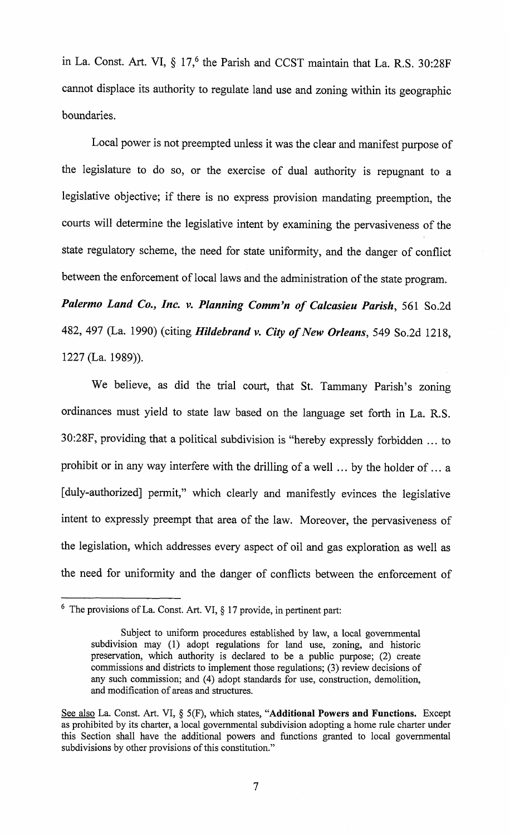in La. Const. Art. VI,  $\S$  17,<sup>6</sup> the Parish and CCST maintain that La. R.S. 30:28F cannot displace its authority to regulate land use and zoning within its geographic boundaries.

Local power is not preempted unless it was the clear and manifest purpose of the legislature to do so, or the exercise of dual authority is repugnant to <sup>a</sup> legislative objective; if there is no express provision mandating preemption, the courts will determine the legislative intent by examining the pervasiveness of the state regulatory scheme, the need for state uniformity, and the danger of conflict between the enforcement of local laws and the administration of the state program. Palermo Land Co., Inc. v. Planning Comm'n of Calcasieu Parish, 561 So.2d 482, 497 (La. 1990) (citing Hildebrand v. City of New Orleans, 549 So.2d 1218, 1227 (La. 1989)).

We believe, as did the trial court, that St. Tammany Parish's zoning ordinances must yield to state law based on the language set forth in La. R.S. 30:28F, providing that a political subdivision is " hereby expressly forbidden ... to prohibit or in any way interfere with the drilling of a well ... by the holder of ... a [duly-authorized] permit," which clearly and manifestly evinces the legislative intent to expressly preempt that area of the law. Moreover, the pervasiveness of the legislation, which addresses every aspect of oil and gas exploration as well as the need for uniformity and the danger of conflicts between the enforcement of

 $6$  The provisions of La. Const. Art. VI,  $\S 17$  provide, in pertinent part:

Subject to uniform procedures established by law, a local governmental subdivision may (1) adopt regulations for land use, zoning, and historic preservation, which authority is declared to be a public purpose; (2) create commissions and districts to implement those regulations; (3) review decisions of any such commission; and (4) adopt standards for use, construction, demolition, and modification of areas and structures.

See also La. Const. Art. VI, § 5(F), which states, "Additional Powers and Functions. Except as prohibited by its charter, a local governmental subdivision adopting <sup>a</sup> home rule charter under this Section shall have the additional powers and functions granted to local governmental subdivisions by other provisions of this constitution."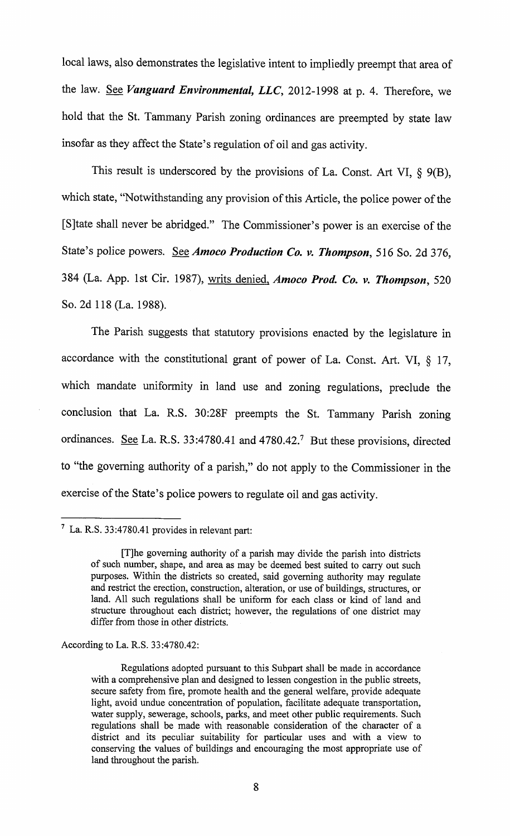local laws, also demonstrates the legislative intent to impliedly preempt that area of the law. See Vanguard Environmental, LLC, 2012-1998 at p. 4. Therefore, we hold that the St. Tammany Parish zoning ordinances are preempted by state law insofar as they affect the State's regulation of oil and gas activity.

This result is underscored by the provisions of La. Const. Art VI,  $\S$  9(B), which state, "Notwithstanding any provision of this Article, the police power of the [S]tate shall never be abridged." The Commissioner's power is an exercise of the State's police powers. See Amoco Production Co. v. Thompson, 516 So. 2d 376, 384 (La. App. 1st Cir. 1987), writs denied, Amoco Prod. Co. v. Thompson, 520 So. 2d 118 (La. 1988).

The Parish suggests that statutory provisions enacted by the legislature in accordance with the constitutional grant of power of La. Const. Art. VI, § 17, which mandate uniformity in land use and zoning regulations, preclude the conclusion that La. R.S. 30:28F preempts the St. Tammany Parish zoning ordinances. See La. R.S. 33:4780.41 and 4780.42.<sup>7</sup> But these provisions, directed to "the governing authority of a parish," do not apply to the Commissioner in the exercise of the State's police powers to regulate oil and gas activity.

According to La. R.S. 33:4780.42:

 $^7$  La. R.S. 33:4780.41 provides in relevant part:

T]he governing authority of <sup>a</sup> parish may divide the parish into districts of such number, shape, and area as may be deemed best suited to carry out such purposes. Within the districts so created, said governing authority may regulate and restrict the erection, construction, alteration, or use of buildings, structures, or land. All such regulations shall be uniform for each class or kind of land and structure throughout each district; however, the regulations of one district may differ from those in other districts.

Regulations adopted pursuant to this Subpart shall be made in accordance with a comprehensive plan and designed to lessen congestion in the public streets, secure safety from fire, promote health and the general welfare, provide adequate light, avoid undue concentration of population, facilitate adequate transportation, water supply, sewerage, schools, parks, and meet other public requirements. Such regulations shall be made with reasonable consideration of the character of <sup>a</sup> district and its peculiar suitability for particular uses and with a view to conserving the values of buildings and encouraging the most appropriate use of land throughout the parish.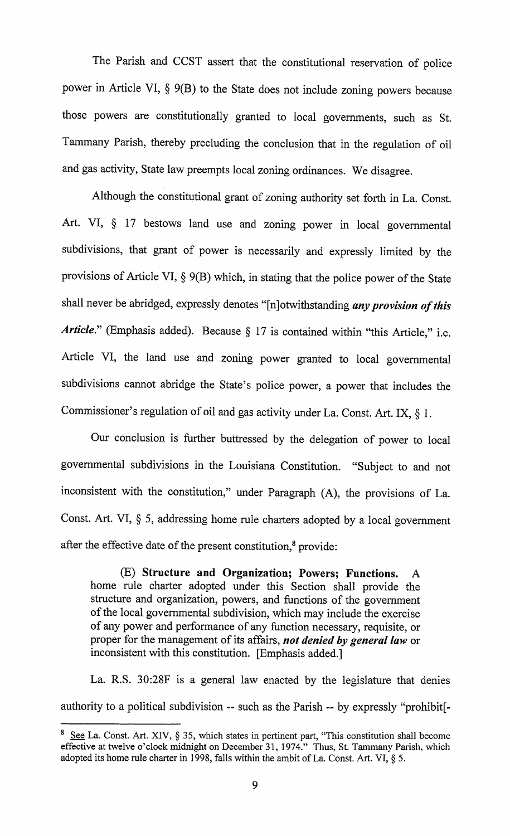The Parish and CCST assert that the constitutional reservation of police power in Article VI, § 9(B) to the State does not include zoning powers because those powers are constitutionally granted to local governments, such as St. Tammany Parish, thereby precluding the conclusion that in the regulation of oil and gas activity, State law preempts local zoning ordinances. We disagree.

Although the constitutional grant of zoning authority set forth in La. Const. Art. VI, § 17 bestows land use and zoning power in local governmental subdivisions, that grant of power is necessarily and expressly limited by the provisions of Article VI,  $\S$  9(B) which, in stating that the police power of the State shall never be abridged, expressly denotes "[n]otwithstanding any provision of this Article." (Emphasis added). Because  $\S$  17 is contained within "this Article," i.e. Article VI, the land use and zoning power granted to local governmental subdivisions cannot abridge the State's police power, a power that includes the Commissioner's regulation of oil and gas activity under La. Const. Art. IX,  $\S$  1.

Our conclusion is further buttressed by the delegation of power to local governmental subdivisions in the Louisiana Constitution. " Subject to and not inconsistent with the constitution," under Paragraph (A), the provisions of La. Const. Art. VI, § 5, addressing home rule charters adopted by <sup>a</sup> local government after the effective date of the present constitution,<sup>8</sup> provide:

E) Structure and Organization; Powers; Functions. A home rule charter adopted under this Section shall provide the structure and organization, powers, and functions of the government of the local governmental subdivision, which may include the exercise of any power and performance of any function necessary, requisite, or proper for the management of its affairs, not denied by general law or inconsistent with this constitution. [Emphasis added.]

La. R.S. 30:28F is a general law enacted by the legislature that denies authority to a political subdivision -- such as the Parish -- by expressly "prohibit[-

 $8 \text{ See } La$ . Const. Art. XIV, § 35, which states in pertinent part, "This constitution shall become effective at twelve o'clock midnight on December 31, 1974." Thus, St. Tammany Parish, which adopted its home rule charter in 1998, falls within the ambit of La. Const. Art. VI,  $\S$  5.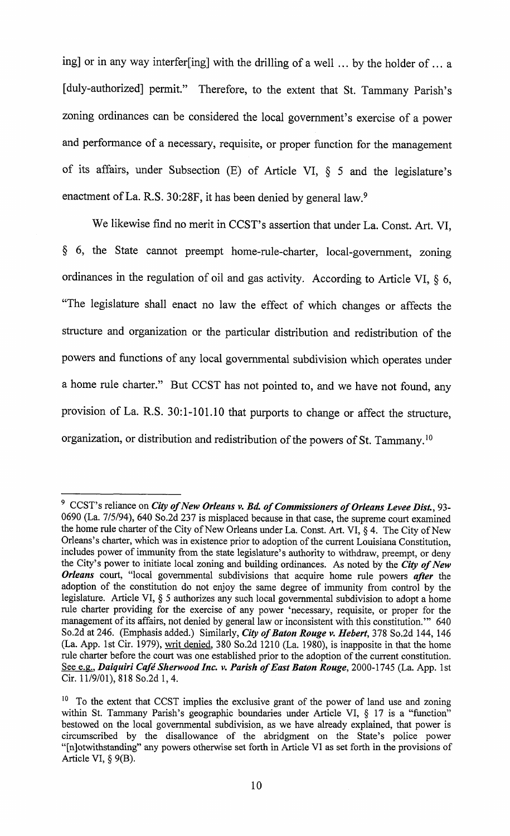ing] or in any way interfer[ing] with the drilling of a well ... by the holder of ... a [duly-authorized] permit." Therefore, to the extent that St. Tammany Parish's zoning ordinances can be considered the local government's exercise of <sup>a</sup> power and performance of a necessary, requisite, or proper function for the management of its affairs, under Subsection (E) of Article VI, § 5 and the legislature's enactment of La. R.S. 30:28F, it has been denied by general law.<sup>9</sup>

We likewise find no merit in CCST's assertion that under La. Const. Art. VI, 6, the State cannot preempt home-rule-charter, local-government, zoning ordinances in the regulation of oil and gas activity. According to Article VI,  $\S$  6, The legislature shall enact no law the effect of which changes or affects the structure and organization or the particular distribution and redistribution of the powers and functions of any local governmental subdivision which operates under a home rule charter." But CCST has not pointed to, and we have not found, any provision of La. R.S. 30:1-101.10 that purports to change or affect the structure, organization, or distribution and redistribution of the powers of St. Tammany.<sup>10</sup>

<sup>&</sup>lt;sup>9</sup> CCST's reliance on *City of New Orleans v. Bd. of Commissioners of Orleans Levee Dist.*, 93-0690 (La. 7/5/94), 640 So.2d 237 is misplaced because in that case, the supreme court examined the home rule charter of the City of New Orleans under La. Const. Art. VI, § 4. The City of New Orleans's charter, which was in existence prior to adoption of the current Louisiana Constitution, includes power of immunity from the state legislature's authority to withdraw, preempt, or deny the City's power to initiate local zoning and building ordinances. As noted by the City of New Orleans court, "local governmental subdivisions that acquire home rule powers after the adoption of the constitution do not enjoy the same degree of immunity from control by the legislature. Article VI, § 5 authorizes any such local governmental subdivision to adopt <sup>a</sup> home rule charter providing for the exercise of any power 'necessary, requisite, or proper for the management of its affairs, not denied by general law or inconsistent with this constitution." 640 So.2d at 246. (Emphasis added.) Similarly, City of Baton Rouge v. Hebert, 378 So.2d 144, 146 La. App. 1st Cir. 1979), writ denied, 380 So.2d 1210 (La. 1980), is inapposite in that the home rule charter before the court was one established prior to the adoption of the current constitution. See e.g., Daiquiri Café Sherwood Inc. v. Parish of East Baton Rouge, 2000-1745 (La. App. 1st Cir. 11/9/01), 818 So.2d 1, 4.

<sup>&</sup>lt;sup>10</sup> To the extent that CCST implies the exclusive grant of the power of land use and zoning within St. Tammany Parish's geographic boundaries under Article VI, § 17 is a "function" bestowed on the local governmental subdivision, as we have already explained, that power is circumscribed by the disallowance of the abridgment on the State's police power "[n]otwithstanding" any powers otherwise set forth in Article VI as set forth in the provisions of Article VI,  $\S$  9(B).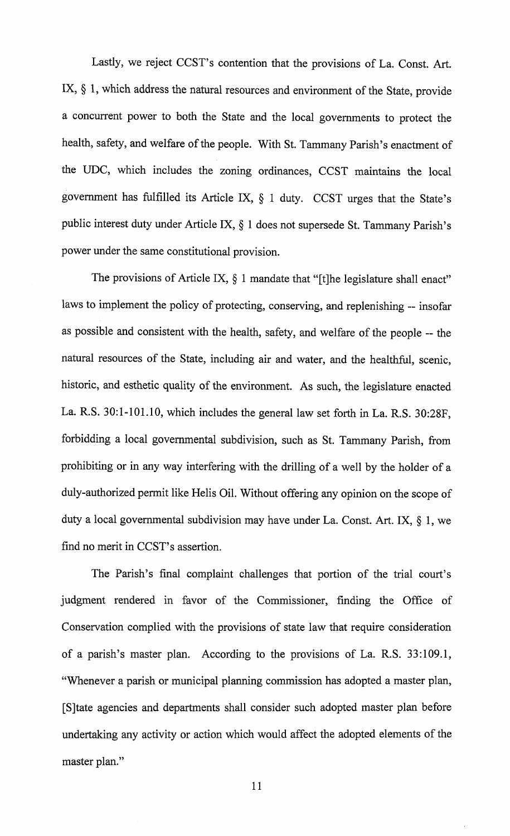Lastly, we reject CCST's contention that the provisions of La. Const. Art. IX,  $\S$  1, which address the natural resources and environment of the State, provide a concurrent power to both the State and the local governments to protect the health, safety, and welfare of the people. With St. Tammany Parish's enactment of the UDC, which includes the zoning ordinances, CCST maintains the local government has fulfilled its Article IX, § 1 duty. CCST urges that the State's public interest duty under Article IX,§ 1 does not supersede St. Tammany Parish's power under the same constitutional provision.

The provisions of Article IX,  $\S$  1 mandate that "[t]he legislature shall enact" laws to implement the policy of protecting, conserving, and replenishing -- insofar as possible and consistent with the health, safety, and welfare of the people -- the natural resources of the State, including air and water, and the healthful, scenic, historic, and esthetic quality of the environment. As such, the legislature enacted La. R.S. 30:1-101.10, which includes the general law set forth in La. R.S. 30:28F, forbidding a local governmental subdivision, such as St. Tammany Parish, from prohibiting or in any way interfering with the drilling of a well by the holder of a duly-authorized permit like Helis Oil. Without offering any opinion on the scope of duty a local governmental subdivision may have under La. Const. Art. IX, § 1, we find no merit in CCST's assertion.

The Parish's final complaint challenges that portion of the trial court's judgment rendered in favor of the Commissioner, finding the Office of Conservation complied with the provisions of state law that require consideration of <sup>a</sup> parish'<sup>s</sup> master plan. According to the provisions of La. R.S. 33:109.1, Whenever a parish or municipal planning commission has adopted a master plan, S]tate agencies and departments shall consider such adopted master plan before undertaking any activity or action which would affect the adopted elements of the master plan."

11